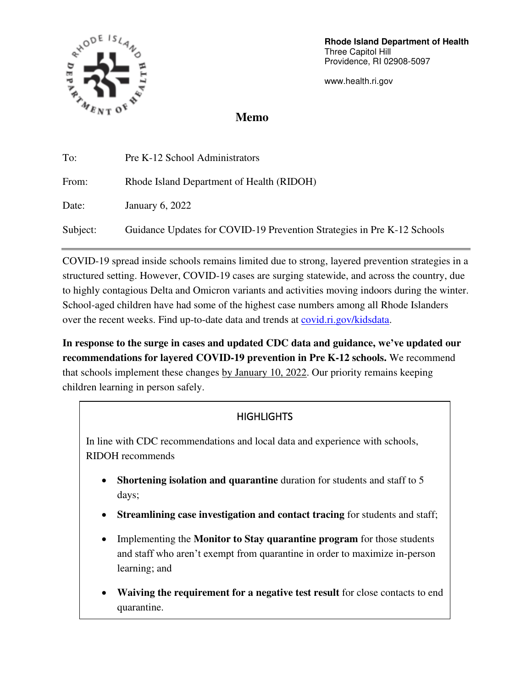

**Rhode Island Department of Health**  Three Capitol Hill Providence, RI 02908-5097

www.health.ri.gov

## **Memo**

| To:      | Pre K-12 School Administrators                                          |
|----------|-------------------------------------------------------------------------|
| From:    | Rhode Island Department of Health (RIDOH)                               |
| Date:    | January 6, 2022                                                         |
| Subject: | Guidance Updates for COVID-19 Prevention Strategies in Pre K-12 Schools |

COVID-19 spread inside schools remains limited due to strong, layered prevention strategies in a structured setting. However, COVID-19 cases are surging statewide, and across the country, due to highly contagious Delta and Omicron variants and activities moving indoors during the winter. School-aged children have had some of the highest case numbers among all Rhode Islanders over the recent weeks. Find up-to-date data and trends at *covid.ri.gov/kidsdata*.

**In response to the surge in cases and updated CDC data and guidance, we've updated our recommendations for layered COVID-19 prevention in Pre K-12 schools.** We recommend that schools implement these changes by January 10, 2022. Our priority remains keeping children learning in person safely.

## **HIGHLIGHTS**

In line with CDC recommendations and local data and experience with schools, RIDOH recommends

- **Shortening isolation and quarantine** duration for students and staff to 5 days;
- **Streamlining case investigation and contact tracing** for students and staff;
- Implementing the **Monitor to Stay quarantine program** for those students and staff who aren't exempt from quarantine in order to maximize in-person learning; and
- **Waiving the requirement for a negative test result** for close contacts to end quarantine.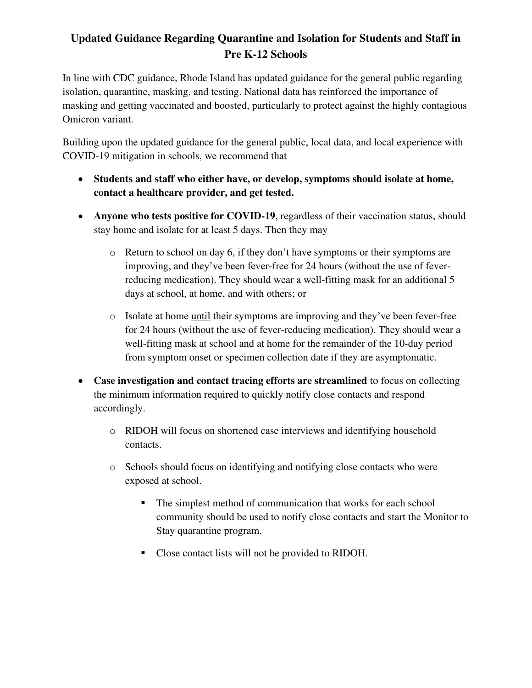## **Updated Guidance Regarding Quarantine and Isolation for Students and Staff in Pre K-12 Schools**

In line with CDC guidance, Rhode Island has updated guidance for the general public regarding isolation, quarantine, masking, and testing. National data has reinforced the importance of masking and getting vaccinated and boosted, particularly to protect against the highly contagious Omicron variant.

Building upon the updated guidance for the general public, local data, and local experience with COVID-19 mitigation in schools, we recommend that

- **Students and staff who either have, or develop, symptoms should isolate at home, contact a healthcare provider, and get tested.**
- **Anyone who tests positive for COVID-19**, regardless of their vaccination status, should stay home and isolate for at least 5 days. Then they may
	- o Return to school on day 6, if they don't have symptoms or their symptoms are improving, and they've been fever-free for 24 hours (without the use of feverreducing medication). They should wear a well-fitting mask for an additional 5 days at school, at home, and with others; or
	- o Isolate at home until their symptoms are improving and they've been fever-free for 24 hours (without the use of fever-reducing medication). They should wear a well-fitting mask at school and at home for the remainder of the 10-day period from symptom onset or specimen collection date if they are asymptomatic.
- **Case investigation and contact tracing efforts are streamlined** to focus on collecting the minimum information required to quickly notify close contacts and respond accordingly.
	- o RIDOH will focus on shortened case interviews and identifying household contacts.
	- o Schools should focus on identifying and notifying close contacts who were exposed at school.
		- **•** The simplest method of communication that works for each school community should be used to notify close contacts and start the Monitor to Stay quarantine program.
		- Close contact lists will not be provided to RIDOH.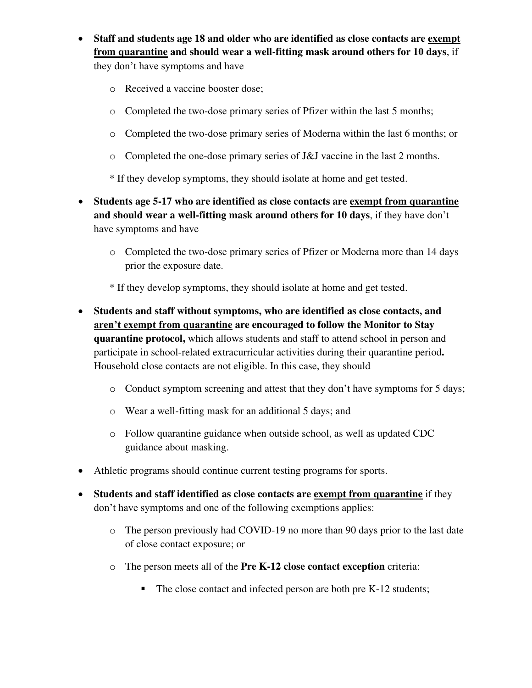- **Staff and students age 18 and older who are identified as close contacts are exempt from quarantine and should wear a well-fitting mask around others for 10 days**, if they don't have symptoms and have
	- o Received a vaccine booster dose;
	- o Completed the two-dose primary series of Pfizer within the last 5 months;
	- o Completed the two-dose primary series of Moderna within the last 6 months; or
	- o Completed the one-dose primary series of J&J vaccine in the last 2 months.

\* If they develop symptoms, they should isolate at home and get tested.

- **Students age 5-17 who are identified as close contacts are exempt from quarantine and should wear a well-fitting mask around others for 10 days**, if they have don't have symptoms and have
	- o Completed the two-dose primary series of Pfizer or Moderna more than 14 days prior the exposure date.

\* If they develop symptoms, they should isolate at home and get tested.

- **Students and staff without symptoms, who are identified as close contacts, and aren't exempt from quarantine are encouraged to follow the Monitor to Stay quarantine protocol,** which allows students and staff to attend school in person and participate in school-related extracurricular activities during their quarantine period**.**  Household close contacts are not eligible. In this case, they should
	- o Conduct symptom screening and attest that they don't have symptoms for 5 days;
	- o Wear a well-fitting mask for an additional 5 days; and
	- o Follow quarantine guidance when outside school, as well as updated CDC guidance about masking.
- Athletic programs should continue current testing programs for sports.
- **Students and staff identified as close contacts are exempt from quarantine** if they don't have symptoms and one of the following exemptions applies:
	- o The person previously had COVID-19 no more than 90 days prior to the last date of close contact exposure; or
	- o The person meets all of the **Pre K-12 close contact exception** criteria:
		- The close contact and infected person are both pre K-12 students;